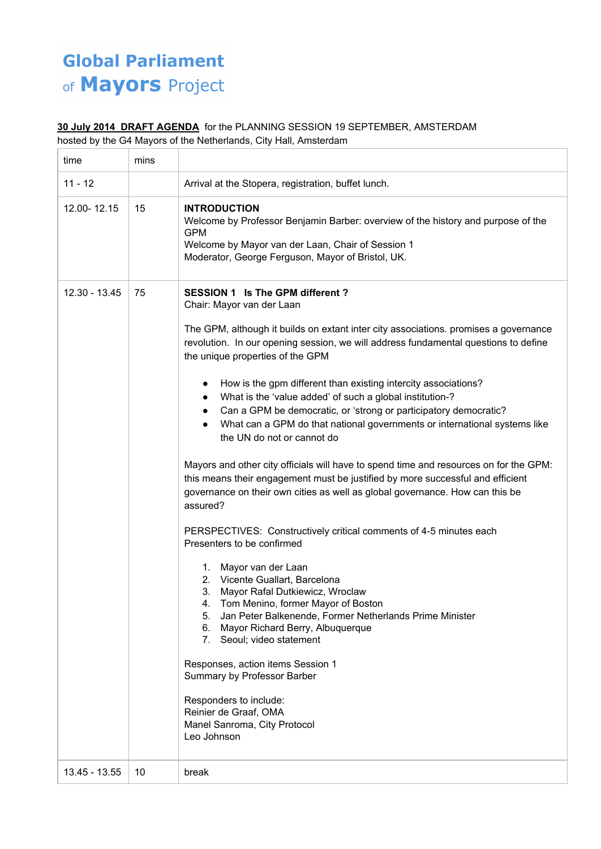## **Global Parliament** of Mayors Project

## **30 July 2014 DRAFT AGENDA** for the PLANNING SESSION 19 SEPTEMBER, AMSTERDAM

hosted by the G4 Mayors of the Netherlands, City Hall, Amsterdam

| time          | mins |                                                                                                                                                                                                                                                                                                                                                                                                                                                                                                                                                                                                                                                                                                                                                                                                                                                                                                                                                                                                                                                                                                                                                                                                                                                                                                                                                                                                                                                               |
|---------------|------|---------------------------------------------------------------------------------------------------------------------------------------------------------------------------------------------------------------------------------------------------------------------------------------------------------------------------------------------------------------------------------------------------------------------------------------------------------------------------------------------------------------------------------------------------------------------------------------------------------------------------------------------------------------------------------------------------------------------------------------------------------------------------------------------------------------------------------------------------------------------------------------------------------------------------------------------------------------------------------------------------------------------------------------------------------------------------------------------------------------------------------------------------------------------------------------------------------------------------------------------------------------------------------------------------------------------------------------------------------------------------------------------------------------------------------------------------------------|
| $11 - 12$     |      | Arrival at the Stopera, registration, buffet lunch.                                                                                                                                                                                                                                                                                                                                                                                                                                                                                                                                                                                                                                                                                                                                                                                                                                                                                                                                                                                                                                                                                                                                                                                                                                                                                                                                                                                                           |
| 12.00-12.15   | 15   | <b>INTRODUCTION</b><br>Welcome by Professor Benjamin Barber: overview of the history and purpose of the<br><b>GPM</b><br>Welcome by Mayor van der Laan, Chair of Session 1<br>Moderator, George Ferguson, Mayor of Bristol, UK.                                                                                                                                                                                                                                                                                                                                                                                                                                                                                                                                                                                                                                                                                                                                                                                                                                                                                                                                                                                                                                                                                                                                                                                                                               |
| 12.30 - 13.45 | 75   | <b>SESSION 1 Is The GPM different ?</b><br>Chair: Mayor van der Laan<br>The GPM, although it builds on extant inter city associations. promises a governance<br>revolution. In our opening session, we will address fundamental questions to define<br>the unique properties of the GPM<br>How is the gpm different than existing intercity associations?<br>What is the 'value added' of such a global institution-?<br>$\bullet$<br>Can a GPM be democratic, or 'strong or participatory democratic?<br>What can a GPM do that national governments or international systems like<br>the UN do not or cannot do<br>Mayors and other city officials will have to spend time and resources on for the GPM:<br>this means their engagement must be justified by more successful and efficient<br>governance on their own cities as well as global governance. How can this be<br>assured?<br>PERSPECTIVES: Constructively critical comments of 4-5 minutes each<br>Presenters to be confirmed<br>1. Mayor van der Laan<br>2. Vicente Guallart, Barcelona<br>3.<br>Mayor Rafal Dutkiewicz, Wroclaw<br>Tom Menino, former Mayor of Boston<br>4.<br>Jan Peter Balkenende, Former Netherlands Prime Minister<br>5.<br>Mayor Richard Berry, Albuquerque<br>6.<br>Seoul; video statement<br>7.<br>Responses, action items Session 1<br>Summary by Professor Barber<br>Responders to include:<br>Reinier de Graaf, OMA<br>Manel Sanroma, City Protocol<br>Leo Johnson |
| 13.45 - 13.55 | 10   | break                                                                                                                                                                                                                                                                                                                                                                                                                                                                                                                                                                                                                                                                                                                                                                                                                                                                                                                                                                                                                                                                                                                                                                                                                                                                                                                                                                                                                                                         |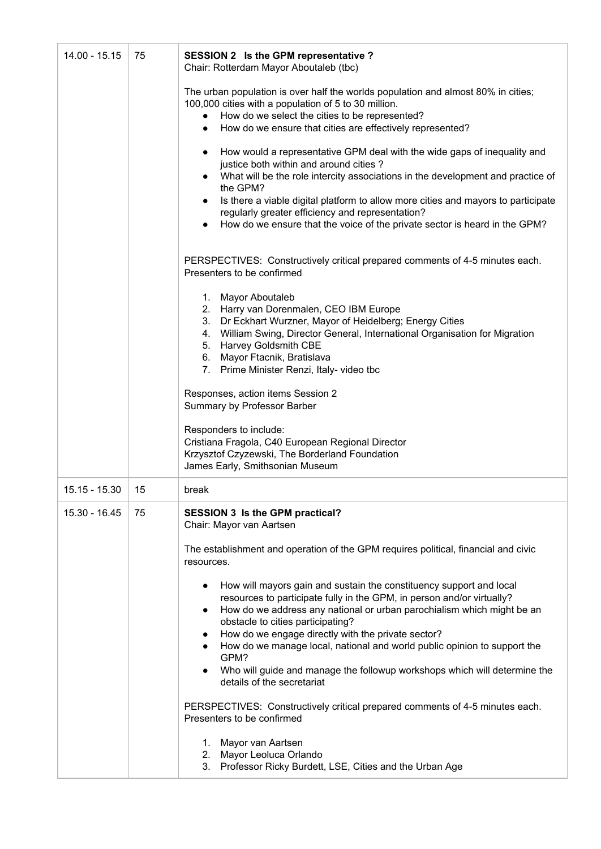| 14.00 - 15.15 | 75 | SESSION 2 Is the GPM representative ?<br>Chair: Rotterdam Mayor Aboutaleb (tbc)                                                                                                                                                                                                                                                                                                                                                                                                                                                |
|---------------|----|--------------------------------------------------------------------------------------------------------------------------------------------------------------------------------------------------------------------------------------------------------------------------------------------------------------------------------------------------------------------------------------------------------------------------------------------------------------------------------------------------------------------------------|
|               |    | The urban population is over half the worlds population and almost 80% in cities;<br>100,000 cities with a population of 5 to 30 million.<br>How do we select the cities to be represented?<br>$\bullet$<br>How do we ensure that cities are effectively represented?<br>$\bullet$                                                                                                                                                                                                                                             |
|               |    | How would a representative GPM deal with the wide gaps of inequality and<br>justice both within and around cities?<br>What will be the role intercity associations in the development and practice of<br>the GPM?<br>Is there a viable digital platform to allow more cities and mayors to participate<br>regularly greater efficiency and representation?<br>How do we ensure that the voice of the private sector is heard in the GPM?                                                                                       |
|               |    | PERSPECTIVES: Constructively critical prepared comments of 4-5 minutes each.<br>Presenters to be confirmed                                                                                                                                                                                                                                                                                                                                                                                                                     |
|               |    | 1. Mayor Aboutaleb<br>2. Harry van Dorenmalen, CEO IBM Europe<br>3. Dr Eckhart Wurzner, Mayor of Heidelberg; Energy Cities<br>4. William Swing, Director General, International Organisation for Migration<br>5. Harvey Goldsmith CBE<br>6. Mayor Ftacnik, Bratislava<br>7. Prime Minister Renzi, Italy- video tbc                                                                                                                                                                                                             |
|               |    | Responses, action items Session 2<br>Summary by Professor Barber                                                                                                                                                                                                                                                                                                                                                                                                                                                               |
|               |    | Responders to include:<br>Cristiana Fragola, C40 European Regional Director<br>Krzysztof Czyzewski, The Borderland Foundation<br>James Early, Smithsonian Museum                                                                                                                                                                                                                                                                                                                                                               |
| 15.15 - 15.30 | 15 | break                                                                                                                                                                                                                                                                                                                                                                                                                                                                                                                          |
| 15.30 - 16.45 | 75 | <b>SESSION 3 Is the GPM practical?</b><br>Chair: Mayor van Aartsen                                                                                                                                                                                                                                                                                                                                                                                                                                                             |
|               |    | The establishment and operation of the GPM requires political, financial and civic<br>resources.                                                                                                                                                                                                                                                                                                                                                                                                                               |
|               |    | How will mayors gain and sustain the constituency support and local<br>resources to participate fully in the GPM, in person and/or virtually?<br>How do we address any national or urban parochialism which might be an<br>$\bullet$<br>obstacle to cities participating?<br>How do we engage directly with the private sector?<br>How do we manage local, national and world public opinion to support the<br>GPM?<br>Who will guide and manage the followup workshops which will determine the<br>details of the secretariat |
|               |    | PERSPECTIVES: Constructively critical prepared comments of 4-5 minutes each.<br>Presenters to be confirmed                                                                                                                                                                                                                                                                                                                                                                                                                     |
|               |    | 1. Mayor van Aartsen<br>Mayor Leoluca Orlando<br>2.<br>3. Professor Ricky Burdett, LSE, Cities and the Urban Age                                                                                                                                                                                                                                                                                                                                                                                                               |